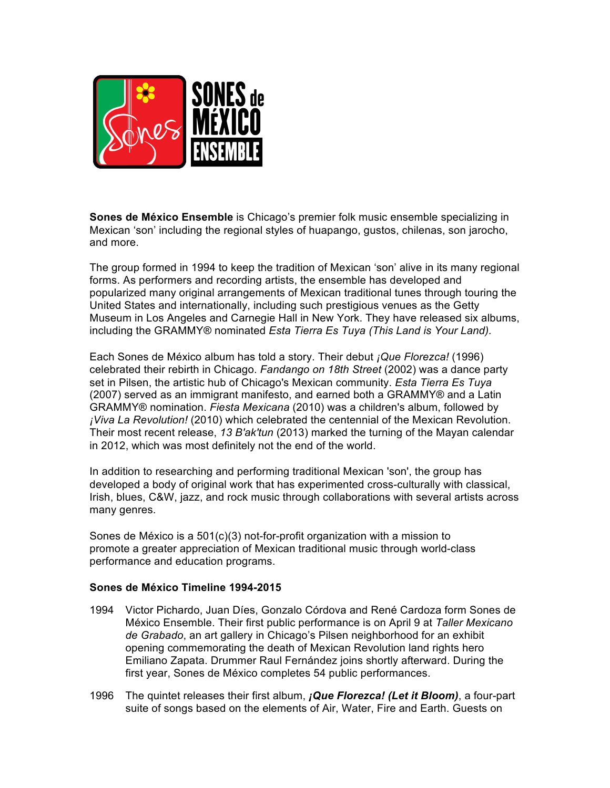

**Sones de México Ensemble** is Chicago's premier folk music ensemble specializing in Mexican 'son' including the regional styles of huapango, gustos, chilenas, son jarocho, and more.

The group formed in 1994 to keep the tradition of Mexican 'son' alive in its many regional forms. As performers and recording artists, the ensemble has developed and popularized many original arrangements of Mexican traditional tunes through touring the United States and internationally, including such prestigious venues as the Getty Museum in Los Angeles and Carnegie Hall in New York. They have released six albums, including the GRAMMY® nominated *Esta Tierra Es Tuya (This Land is Your Land).*

Each Sones de México album has told a story. Their debut *¡Que Florezca!* (1996) celebrated their rebirth in Chicago. *Fandango on 18th Street* (2002) was a dance party set in Pilsen, the artistic hub of Chicago's Mexican community. *Esta Tierra Es Tuya* (2007) served as an immigrant manifesto, and earned both a GRAMMY® and a Latin GRAMMY® nomination. *Fiesta Mexicana* (2010) was a children's album, followed by *¡Viva La Revolution!* (2010) which celebrated the centennial of the Mexican Revolution. Their most recent release, *13 B'ak'tun* (2013) marked the turning of the Mayan calendar in 2012, which was most definitely not the end of the world.

In addition to researching and performing traditional Mexican 'son', the group has developed a body of original work that has experimented cross-culturally with classical, Irish, blues, C&W, jazz, and rock music through collaborations with several artists across many genres.

Sones de México is a 501(c)(3) not-for-profit organization with a mission to promote a greater appreciation of Mexican traditional music through world-class performance and education programs.

## **Sones de México Timeline 1994-2015**

- 1994 Victor Pichardo, Juan Díes, Gonzalo Córdova and René Cardoza form Sones de México Ensemble. Their first public performance is on April 9 at *Taller Mexicano de Grabado*, an art gallery in Chicago's Pilsen neighborhood for an exhibit opening commemorating the death of Mexican Revolution land rights hero Emiliano Zapata. Drummer Raul Fernández joins shortly afterward. During the first year, Sones de México completes 54 public performances.
- 1996 The quintet releases their first album, *¡Que Florezca! (Let it Bloom)*, a four-part suite of songs based on the elements of Air, Water, Fire and Earth. Guests on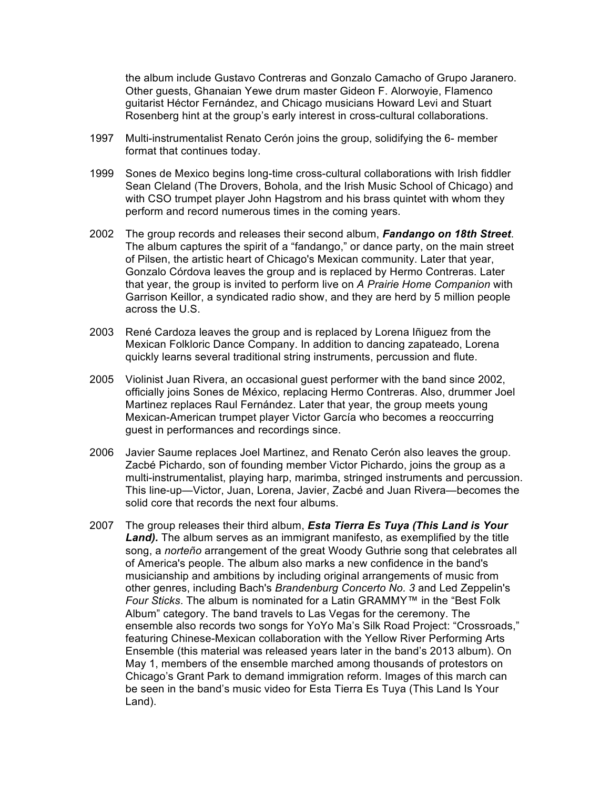the album include Gustavo Contreras and Gonzalo Camacho of Grupo Jaranero. Other guests, Ghanaian Yewe drum master Gideon F. Alorwoyie, Flamenco guitarist Héctor Fernández, and Chicago musicians Howard Levi and Stuart Rosenberg hint at the group's early interest in cross-cultural collaborations.

- 1997 Multi-instrumentalist Renato Cerón joins the group, solidifying the 6- member format that continues today.
- 1999 Sones de Mexico begins long-time cross-cultural collaborations with Irish fiddler Sean Cleland (The Drovers, Bohola, and the Irish Music School of Chicago) and with CSO trumpet player John Hagstrom and his brass quintet with whom they perform and record numerous times in the coming years.
- 2002 The group records and releases their second album, *Fandango on 18th Street*. The album captures the spirit of a "fandango," or dance party, on the main street of Pilsen, the artistic heart of Chicago's Mexican community. Later that year, Gonzalo Córdova leaves the group and is replaced by Hermo Contreras. Later that year, the group is invited to perform live on *A Prairie Home Companion* with Garrison Keillor, a syndicated radio show, and they are herd by 5 million people across the U.S.
- 2003 René Cardoza leaves the group and is replaced by Lorena Iñiguez from the Mexican Folkloric Dance Company. In addition to dancing zapateado, Lorena quickly learns several traditional string instruments, percussion and flute.
- 2005 Violinist Juan Rivera, an occasional guest performer with the band since 2002, officially joins Sones de México, replacing Hermo Contreras. Also, drummer Joel Martinez replaces Raul Fernández. Later that year, the group meets young Mexican-American trumpet player Victor García who becomes a reoccurring guest in performances and recordings since.
- 2006 Javier Saume replaces Joel Martinez, and Renato Cerón also leaves the group. Zacbé Pichardo, son of founding member Victor Pichardo, joins the group as a multi-instrumentalist, playing harp, marimba, stringed instruments and percussion. This line-up—Victor, Juan, Lorena, Javier, Zacbé and Juan Rivera—becomes the solid core that records the next four albums.
- 2007 The group releases their third album, *Esta Tierra Es Tuya (This Land is Your Land).* The album serves as an immigrant manifesto, as exemplified by the title song, a *norteño* arrangement of the great Woody Guthrie song that celebrates all of America's people. The album also marks a new confidence in the band's musicianship and ambitions by including original arrangements of music from other genres, including Bach's *Brandenburg Concerto No. 3* and Led Zeppelin's *Four Sticks*. The album is nominated for a Latin GRAMMY™ in the "Best Folk Album" category. The band travels to Las Vegas for the ceremony. The ensemble also records two songs for YoYo Ma's Silk Road Project: "Crossroads," featuring Chinese-Mexican collaboration with the Yellow River Performing Arts Ensemble (this material was released years later in the band's 2013 album). On May 1, members of the ensemble marched among thousands of protestors on Chicago's Grant Park to demand immigration reform. Images of this march can be seen in the band's music video for Esta Tierra Es Tuya (This Land Is Your Land).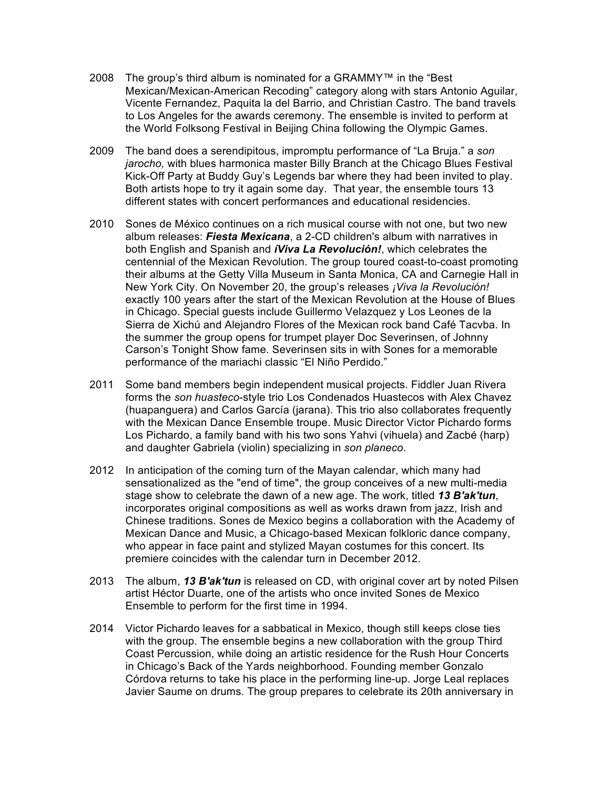- 2008 The group's third album is nominated for a GRAMMY™ in the "Best Mexican/Mexican-American Recoding" category along with stars Antonio Aguilar, Vicente Fernandez, Paquita la del Barrio, and Christian Castro. The band travels to Los Angeles for the awards ceremony. The ensemble is invited to perform at the World Folksong Festival in Beijing China following the Olympic Games.
- 2009 The band does a serendipitous, impromptu performance of "La Bruja." a *son jarocho,* with blues harmonica master Billy Branch at the Chicago Blues Festival Kick-Off Party at Buddy Guy's Legends bar where they had been invited to play. Both artists hope to try it again some day. That year, the ensemble tours 13 different states with concert performances and educational residencies.
- 2010 Sones de México continues on a rich musical course with not one, but two new album releases: *Fiesta Mexicana*, a 2-CD children's album with narratives in both English and Spanish and *íViva La Revolución!*, which celebrates the centennial of the Mexican Revolution. The group toured coast-to-coast promoting their albums at the Getty Villa Museum in Santa Monica, CA and Carnegie Hall in New York City. On November 20, the group's releases *¡Viva la Revolución!* exactly 100 years after the start of the Mexican Revolution at the House of Blues in Chicago. Special guests include Guillermo Velazquez y Los Leones de la Sierra de Xichú and Alejandro Flores of the Mexican rock band Café Tacvba. In the summer the group opens for trumpet player Doc Severinsen, of Johnny Carson's Tonight Show fame. Severinsen sits in with Sones for a memorable performance of the mariachi classic "El Niño Perdido."
- 2011 Some band members begin independent musical projects. Fiddler Juan Rivera forms the *son huasteco*-style trio Los Condenados Huastecos with Alex Chavez (huapanguera) and Carlos García (jarana). This trio also collaborates frequently with the Mexican Dance Ensemble troupe. Music Director Victor Pichardo forms Los Pichardo, a family band with his two sons Yahvi (vihuela) and Zacbé (harp) and daughter Gabriela (violin) specializing in *son planeco*.
- 2012 In anticipation of the coming turn of the Mayan calendar, which many had sensationalized as the "end of time", the group conceives of a new multi-media stage show to celebrate the dawn of a new age. The work, titled *13 B'ak'tun*, incorporates original compositions as well as works drawn from jazz, Irish and Chinese traditions. Sones de Mexico begins a collaboration with the Academy of Mexican Dance and Music, a Chicago-based Mexican folkloric dance company, who appear in face paint and stylized Mayan costumes for this concert. Its premiere coincides with the calendar turn in December 2012.
- 2013 The album, *13 B'ak'tun* is released on CD, with original cover art by noted Pilsen artist Héctor Duarte, one of the artists who once invited Sones de Mexico Ensemble to perform for the first time in 1994.
- 2014 Victor Pichardo leaves for a sabbatical in Mexico, though still keeps close ties with the group. The ensemble begins a new collaboration with the group Third Coast Percussion, while doing an artistic residence for the Rush Hour Concerts in Chicago's Back of the Yards neighborhood. Founding member Gonzalo Córdova returns to take his place in the performing line-up. Jorge Leal replaces Javier Saume on drums. The group prepares to celebrate its 20th anniversary in